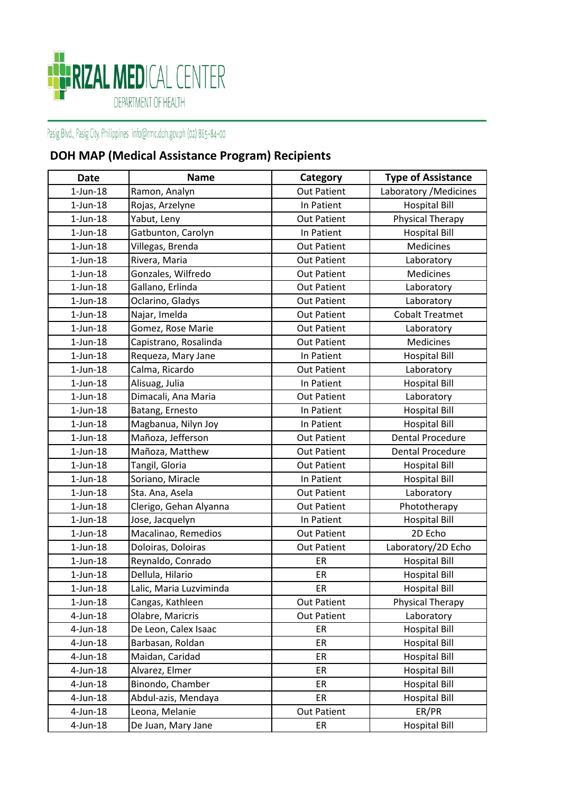

## Pasig Blvd., Pasig City, Philippines info@rmc.doh.gov.ph (02) 865-84-00

## **DOH MAP (Medical Assistance Program) Recipients**

| <b>Date</b>    | <b>Name</b>             | Category           | <b>Type of Assistance</b> |
|----------------|-------------------------|--------------------|---------------------------|
| $1$ -Jun- $18$ | Ramon, Analyn           | <b>Out Patient</b> | Laboratory / Medicines    |
| $1$ -Jun- $18$ | Rojas, Arzelyne         | In Patient         | <b>Hospital Bill</b>      |
| $1$ -Jun- $18$ | Yabut, Leny             | <b>Out Patient</b> | Physical Therapy          |
| $1$ -Jun- $18$ | Gatbunton, Carolyn      | In Patient         | <b>Hospital Bill</b>      |
| $1$ -Jun- $18$ | Villegas, Brenda        | <b>Out Patient</b> | Medicines                 |
| $1$ -Jun- $18$ | Rivera, Maria           | <b>Out Patient</b> | Laboratory                |
| $1$ -Jun- $18$ | Gonzales, Wilfredo      | <b>Out Patient</b> | Medicines                 |
| $1$ -Jun- $18$ | Gallano, Erlinda        | <b>Out Patient</b> | Laboratory                |
| $1$ -Jun- $18$ | Oclarino, Gladys        | <b>Out Patient</b> | Laboratory                |
| $1$ -Jun- $18$ | Najar, Imelda           | <b>Out Patient</b> | <b>Cobalt Treatmet</b>    |
| $1$ -Jun- $18$ | Gomez, Rose Marie       | <b>Out Patient</b> | Laboratory                |
| $1$ -Jun- $18$ | Capistrano, Rosalinda   | <b>Out Patient</b> | Medicines                 |
| $1$ -Jun- $18$ | Requeza, Mary Jane      | In Patient         | <b>Hospital Bill</b>      |
| $1$ -Jun- $18$ | Calma, Ricardo          | <b>Out Patient</b> | Laboratory                |
| $1$ -Jun- $18$ | Alisuag, Julia          | In Patient         | <b>Hospital Bill</b>      |
| $1$ -Jun- $18$ | Dimacali, Ana Maria     | <b>Out Patient</b> | Laboratory                |
| $1$ -Jun- $18$ | Batang, Ernesto         | In Patient         | <b>Hospital Bill</b>      |
| $1$ -Jun- $18$ | Magbanua, Nilyn Joy     | In Patient         | <b>Hospital Bill</b>      |
| $1$ -Jun- $18$ | Mañoza, Jefferson       | <b>Out Patient</b> | <b>Dental Procedure</b>   |
| $1$ -Jun- $18$ | Mañoza, Matthew         | <b>Out Patient</b> | <b>Dental Procedure</b>   |
| $1$ -Jun- $18$ | Tangil, Gloria          | <b>Out Patient</b> | <b>Hospital Bill</b>      |
| $1$ -Jun- $18$ | Soriano, Miracle        | In Patient         | <b>Hospital Bill</b>      |
| $1$ -Jun- $18$ | Sta. Ana, Asela         | <b>Out Patient</b> | Laboratory                |
| $1$ -Jun- $18$ | Clerigo, Gehan Alyanna  | <b>Out Patient</b> | Phototherapy              |
| $1$ -Jun- $18$ | Jose, Jacquelyn         | In Patient         | <b>Hospital Bill</b>      |
| $1$ -Jun- $18$ | Macalinao, Remedios     | <b>Out Patient</b> | 2D Echo                   |
| $1$ -Jun- $18$ | Doloiras, Doloiras      | <b>Out Patient</b> | Laboratory/2D Echo        |
| $1$ -Jun- $18$ | Reynaldo, Conrado       | ER                 | <b>Hospital Bill</b>      |
| $1$ -Jun- $18$ | Dellula, Hilario        | ER                 | <b>Hospital Bill</b>      |
| $1$ -Jun- $18$ | Lalic, Maria Luzviminda | ER                 | <b>Hospital Bill</b>      |
| $1$ -Jun- $18$ | Cangas, Kathleen        | <b>Out Patient</b> | Physical Therapy          |
| $4$ -Jun-18    | Olabre, Maricris        | <b>Out Patient</b> | Laboratory                |
| $4$ -Jun-18    | De Leon, Calex Isaac    | ER                 | <b>Hospital Bill</b>      |
| $4$ -Jun-18    | Barbasan, Roldan        | ER                 | <b>Hospital Bill</b>      |
| $4$ -Jun-18    | Maidan, Caridad         | ER                 | <b>Hospital Bill</b>      |
| $4$ -Jun-18    | Alvarez, Elmer          | ER                 | <b>Hospital Bill</b>      |
| $4$ -Jun-18    | Binondo, Chamber        | ER                 | <b>Hospital Bill</b>      |
| 4-Jun-18       | Abdul-azis, Mendaya     | ER                 | <b>Hospital Bill</b>      |
| $4$ -Jun-18    | Leona, Melanie          | <b>Out Patient</b> | ER/PR                     |
| 4-Jun-18       | De Juan, Mary Jane      | ER                 | <b>Hospital Bill</b>      |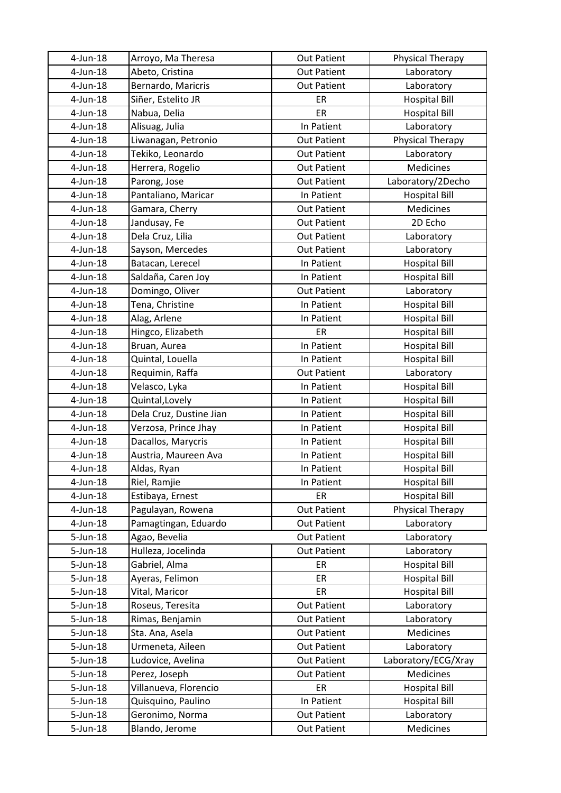| 4-Jun-18     | Arroyo, Ma Theresa      | <b>Out Patient</b> | Physical Therapy     |
|--------------|-------------------------|--------------------|----------------------|
| $4$ -Jun-18  | Abeto, Cristina         | <b>Out Patient</b> | Laboratory           |
| $4$ -Jun-18  | Bernardo, Maricris      | <b>Out Patient</b> | Laboratory           |
| $4$ -Jun-18  | Siñer, Estelito JR      | ER                 | <b>Hospital Bill</b> |
| $4$ -Jun-18  | Nabua, Delia            | ER                 | <b>Hospital Bill</b> |
| $4$ -Jun-18  | Alisuag, Julia          | In Patient         | Laboratory           |
| $4$ -Jun-18  | Liwanagan, Petronio     | <b>Out Patient</b> | Physical Therapy     |
| $4$ -Jun-18  | Tekiko, Leonardo        | <b>Out Patient</b> | Laboratory           |
| $4$ -Jun-18  | Herrera, Rogelio        | <b>Out Patient</b> | Medicines            |
| $4$ -Jun-18  | Parong, Jose            | <b>Out Patient</b> | Laboratory/2Decho    |
| $4$ -Jun-18  | Pantaliano, Maricar     | In Patient         | <b>Hospital Bill</b> |
| $4$ -Jun-18  | Gamara, Cherry          | <b>Out Patient</b> | Medicines            |
| $4$ -Jun-18  | Jandusay, Fe            | <b>Out Patient</b> | 2D Echo              |
| $4$ -Jun-18  | Dela Cruz, Lilia        | <b>Out Patient</b> | Laboratory           |
| $4$ -Jun-18  | Sayson, Mercedes        | <b>Out Patient</b> | Laboratory           |
| $4$ -Jun-18  | Batacan, Lerecel        | In Patient         | <b>Hospital Bill</b> |
| $4$ -Jun-18  | Saldaña, Caren Joy      | In Patient         | <b>Hospital Bill</b> |
| $4$ -Jun-18  | Domingo, Oliver         | <b>Out Patient</b> | Laboratory           |
| $4$ -Jun-18  | Tena, Christine         | In Patient         | <b>Hospital Bill</b> |
| $4$ -Jun-18  | Alag, Arlene            | In Patient         | <b>Hospital Bill</b> |
| $4$ -Jun-18  | Hingco, Elizabeth       | ER                 | <b>Hospital Bill</b> |
| $4$ -Jun-18  | Bruan, Aurea            | In Patient         | <b>Hospital Bill</b> |
| $4$ -Jun-18  | Quintal, Louella        | In Patient         | <b>Hospital Bill</b> |
| $4$ -Jun-18  | Requimin, Raffa         | <b>Out Patient</b> | Laboratory           |
| 4-Jun-18     | Velasco, Lyka           | In Patient         | <b>Hospital Bill</b> |
| $4$ -Jun-18  | Quintal, Lovely         | In Patient         | <b>Hospital Bill</b> |
| $4$ -Jun-18  | Dela Cruz, Dustine Jian | In Patient         | <b>Hospital Bill</b> |
| $4$ -Jun-18  | Verzosa, Prince Jhay    | In Patient         | <b>Hospital Bill</b> |
| $4$ -Jun-18  | Dacallos, Marycris      | In Patient         | <b>Hospital Bill</b> |
| $4$ -Jun-18  | Austria, Maureen Ava    | In Patient         | <b>Hospital Bill</b> |
| $4$ -Jun-18  | Aldas, Ryan             | In Patient         | <b>Hospital Bill</b> |
| 4-Jun-18     | Riel, Ramjie            | In Patient         | <b>Hospital Bill</b> |
| $4$ -Jun-18  | Estibaya, Ernest        | ER                 | <b>Hospital Bill</b> |
| $4$ -Jun-18  | Pagulayan, Rowena       | <b>Out Patient</b> | Physical Therapy     |
| $4$ -Jun-18  | Pamagtingan, Eduardo    | <b>Out Patient</b> | Laboratory           |
| $5 - Jun-18$ | Agao, Bevelia           | <b>Out Patient</b> | Laboratory           |
| $5 - Jun-18$ | Hulleza, Jocelinda      | <b>Out Patient</b> | Laboratory           |
| 5-Jun-18     | Gabriel, Alma           | ER                 | <b>Hospital Bill</b> |
| $5 - Jun-18$ | Ayeras, Felimon         | ER                 | <b>Hospital Bill</b> |
| $5 - Jun-18$ | Vital, Maricor          | ER                 | <b>Hospital Bill</b> |
| $5 - Jun-18$ | Roseus, Teresita        | <b>Out Patient</b> | Laboratory           |
| $5 - Jun-18$ | Rimas, Benjamin         | <b>Out Patient</b> | Laboratory           |
| 5-Jun-18     | Sta. Ana, Asela         | <b>Out Patient</b> | Medicines            |
| $5 - Jun-18$ | Urmeneta, Aileen        | <b>Out Patient</b> | Laboratory           |
| $5 - Jun-18$ | Ludovice, Avelina       | <b>Out Patient</b> | Laboratory/ECG/Xray  |
| $5 - Jun-18$ | Perez, Joseph           | <b>Out Patient</b> | Medicines            |
| 5-Jun-18     | Villanueva, Florencio   | ER                 | <b>Hospital Bill</b> |
| $5 - Jun-18$ | Quisquino, Paulino      | In Patient         | <b>Hospital Bill</b> |
| $5 - Jun-18$ | Geronimo, Norma         | <b>Out Patient</b> | Laboratory           |
| $5 - Jun-18$ | Blando, Jerome          | <b>Out Patient</b> | Medicines            |